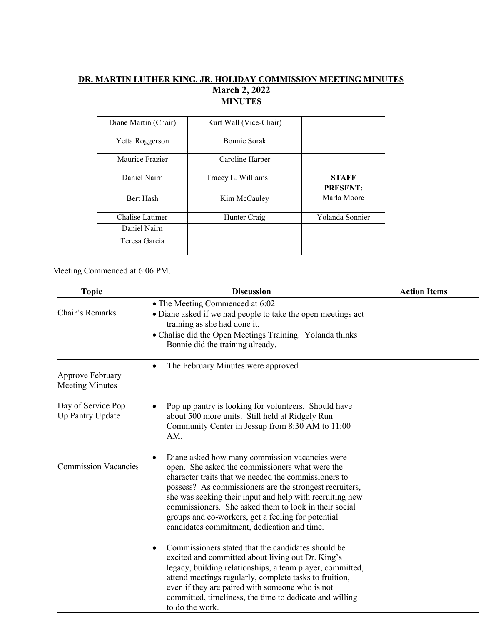## **DR. MARTIN LUTHER KING, JR. HOLIDAY COMMISSION MEETING MINUTES March 2, 2022 MINUTES**

| Diane Martin (Chair)   | Kurt Wall (Vice-Chair) |                                 |
|------------------------|------------------------|---------------------------------|
| Yetta Roggerson        | Bonnie Sorak           |                                 |
| Maurice Frazier        | Caroline Harper        |                                 |
| Daniel Nairn           | Tracey L. Williams     | <b>STAFF</b><br><b>PRESENT:</b> |
| Bert Hash              | Kim McCauley           | Marla Moore                     |
| <b>Chalise Latimer</b> | Hunter Craig           | Yolanda Sonnier                 |
| Daniel Nairn           |                        |                                 |
| Teresa Garcia          |                        |                                 |

Meeting Commenced at 6:06 PM.

| <b>Topic</b>                                  | <b>Discussion</b>                                                                                                                                                                                                                                                                                                                                                                                                                                           | <b>Action Items</b> |
|-----------------------------------------------|-------------------------------------------------------------------------------------------------------------------------------------------------------------------------------------------------------------------------------------------------------------------------------------------------------------------------------------------------------------------------------------------------------------------------------------------------------------|---------------------|
| Chair's Remarks                               | • The Meeting Commenced at 6:02<br>• Diane asked if we had people to take the open meetings act<br>training as she had done it.<br>• Chalise did the Open Meetings Training. Yolanda thinks<br>Bonnie did the training already.                                                                                                                                                                                                                             |                     |
| Approve February<br><b>Meeting Minutes</b>    | The February Minutes were approved<br>$\bullet$                                                                                                                                                                                                                                                                                                                                                                                                             |                     |
| Day of Service Pop<br><b>Up Pantry Update</b> | Pop up pantry is looking for volunteers. Should have<br>about 500 more units. Still held at Ridgely Run<br>Community Center in Jessup from 8:30 AM to 11:00<br>AM.                                                                                                                                                                                                                                                                                          |                     |
| <b>Commission Vacancies</b>                   | Diane asked how many commission vacancies were<br>$\bullet$<br>open. She asked the commissioners what were the<br>character traits that we needed the commissioners to<br>possess? As commissioners are the strongest recruiters,<br>she was seeking their input and help with recruiting new<br>commissioners. She asked them to look in their social<br>groups and co-workers, get a feeling for potential<br>candidates commitment, dedication and time. |                     |
|                                               | Commissioners stated that the candidates should be<br>$\bullet$<br>excited and committed about living out Dr. King's<br>legacy, building relationships, a team player, committed,<br>attend meetings regularly, complete tasks to fruition,<br>even if they are paired with someone who is not<br>committed, timeliness, the time to dedicate and willing<br>to do the work.                                                                                |                     |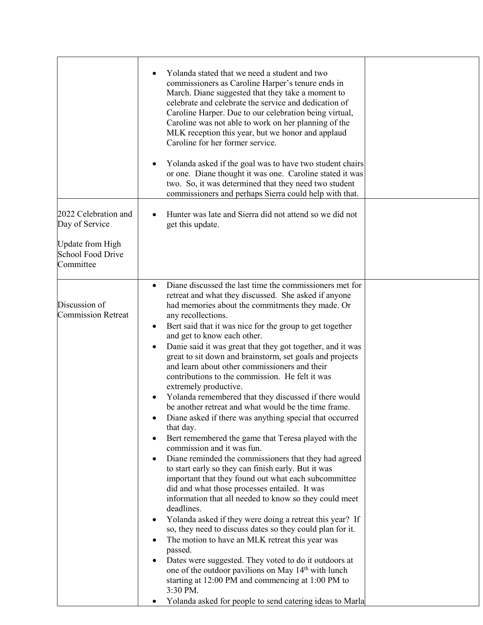|                                                                                                     | Yolanda stated that we need a student and two<br>commissioners as Caroline Harper's tenure ends in<br>March. Diane suggested that they take a moment to<br>celebrate and celebrate the service and dedication of<br>Caroline Harper. Due to our celebration being virtual,<br>Caroline was not able to work on her planning of the<br>MLK reception this year, but we honor and applaud<br>Caroline for her former service.<br>Yolanda asked if the goal was to have two student chairs<br>٠<br>or one. Diane thought it was one. Caroline stated it was<br>two. So, it was determined that they need two student<br>commissioners and perhaps Sierra could help with that.                                                                                                                                                                                                                                                                                                                                                                                                                                                                                                                                                                                                                                                                                                                                                                                                                                                                                                                                                                                                                |  |
|-----------------------------------------------------------------------------------------------------|--------------------------------------------------------------------------------------------------------------------------------------------------------------------------------------------------------------------------------------------------------------------------------------------------------------------------------------------------------------------------------------------------------------------------------------------------------------------------------------------------------------------------------------------------------------------------------------------------------------------------------------------------------------------------------------------------------------------------------------------------------------------------------------------------------------------------------------------------------------------------------------------------------------------------------------------------------------------------------------------------------------------------------------------------------------------------------------------------------------------------------------------------------------------------------------------------------------------------------------------------------------------------------------------------------------------------------------------------------------------------------------------------------------------------------------------------------------------------------------------------------------------------------------------------------------------------------------------------------------------------------------------------------------------------------------------|--|
| 2022 Celebration and<br>Day of Service<br><b>Update from High</b><br>School Food Drive<br>Committee | Hunter was late and Sierra did not attend so we did not<br>get this update.                                                                                                                                                                                                                                                                                                                                                                                                                                                                                                                                                                                                                                                                                                                                                                                                                                                                                                                                                                                                                                                                                                                                                                                                                                                                                                                                                                                                                                                                                                                                                                                                                |  |
| Discussion of<br><b>Commission Retreat</b>                                                          | Diane discussed the last time the commissioners met for<br>$\bullet$<br>retreat and what they discussed. She asked if anyone<br>had memories about the commitments they made. Or<br>any recollections.<br>Bert said that it was nice for the group to get together<br>$\bullet$<br>and get to know each other.<br>Danie said it was great that they got together, and it was<br>$\bullet$<br>great to sit down and brainstorm, set goals and projects<br>and learn about other commissioners and their<br>contributions to the commission. He felt it was<br>extremely productive.<br>Yolanda remembered that they discussed if there would<br>$\bullet$<br>be another retreat and what would be the time frame.<br>Diane asked if there was anything special that occurred<br>٠<br>that day.<br>Bert remembered the game that Teresa played with the<br>٠<br>commission and it was fun.<br>Diane reminded the commissioners that they had agreed<br>$\bullet$<br>to start early so they can finish early. But it was<br>important that they found out what each subcommittee<br>did and what those processes entailed. It was<br>information that all needed to know so they could meet<br>deadlines.<br>Yolanda asked if they were doing a retreat this year? If<br>٠<br>so, they need to discuss dates so they could plan for it.<br>The motion to have an MLK retreat this year was<br>$\bullet$<br>passed.<br>Dates were suggested. They voted to do it outdoors at<br>$\bullet$<br>one of the outdoor pavilions on May 14 <sup>th</sup> with lunch<br>starting at 12:00 PM and commencing at 1:00 PM to<br>3:30 PM.<br>Yolanda asked for people to send catering ideas to Marla<br>٠ |  |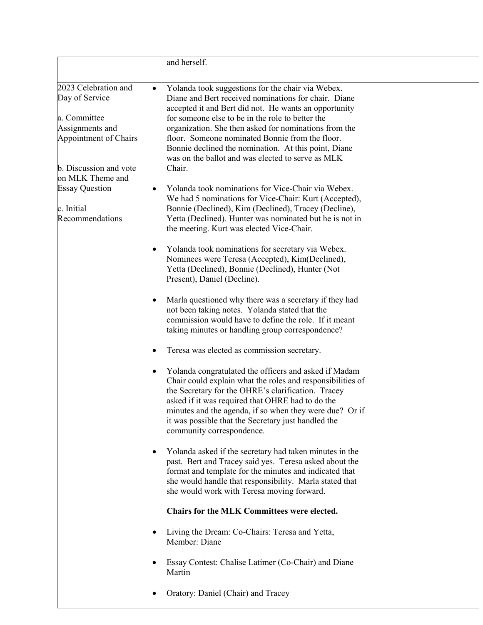|                                                                                                    | and herself.                                                                                                                                                                                                                                                                                                                                                                                                                             |  |
|----------------------------------------------------------------------------------------------------|------------------------------------------------------------------------------------------------------------------------------------------------------------------------------------------------------------------------------------------------------------------------------------------------------------------------------------------------------------------------------------------------------------------------------------------|--|
| 2023 Celebration and<br>Day of Service<br>a. Committee<br>Assignments and<br>Appointment of Chairs | Yolanda took suggestions for the chair via Webex.<br>$\bullet$<br>Diane and Bert received nominations for chair. Diane<br>accepted it and Bert did not. He wants an opportunity<br>for someone else to be in the role to better the<br>organization. She then asked for nominations from the<br>floor. Someone nominated Bonnie from the floor.                                                                                          |  |
| b. Discussion and vote<br>on MLK Theme and                                                         | Bonnie declined the nomination. At this point, Diane<br>was on the ballot and was elected to serve as MLK<br>Chair.                                                                                                                                                                                                                                                                                                                      |  |
| <b>Essay Question</b><br>c. Initial<br>Recommendations                                             | Yolanda took nominations for Vice-Chair via Webex.<br>٠<br>We had 5 nominations for Vice-Chair: Kurt (Accepted),<br>Bonnie (Declined), Kim (Declined), Tracey (Decline),<br>Yetta (Declined). Hunter was nominated but he is not in<br>the meeting. Kurt was elected Vice-Chair.                                                                                                                                                         |  |
|                                                                                                    | Yolanda took nominations for secretary via Webex.<br>٠<br>Nominees were Teresa (Accepted), Kim(Declined),<br>Yetta (Declined), Bonnie (Declined), Hunter (Not<br>Present), Daniel (Decline).                                                                                                                                                                                                                                             |  |
|                                                                                                    | Marla questioned why there was a secretary if they had<br>$\bullet$<br>not been taking notes. Yolanda stated that the<br>commission would have to define the role. If it meant<br>taking minutes or handling group correspondence?                                                                                                                                                                                                       |  |
|                                                                                                    | Teresa was elected as commission secretary.<br>Yolanda congratulated the officers and asked if Madam<br>$\bullet$<br>Chair could explain what the roles and responsibilities of<br>the Secretary for the OHRE's clarification. Tracey<br>asked if it was required that OHRE had to do the<br>minutes and the agenda, if so when they were due? Or if<br>it was possible that the Secretary just handled the<br>community correspondence. |  |
|                                                                                                    | Yolanda asked if the secretary had taken minutes in the<br>$\bullet$<br>past. Bert and Tracey said yes. Teresa asked about the<br>format and template for the minutes and indicated that<br>she would handle that responsibility. Marla stated that<br>she would work with Teresa moving forward.                                                                                                                                        |  |
|                                                                                                    | <b>Chairs for the MLK Committees were elected.</b><br>Living the Dream: Co-Chairs: Teresa and Yetta,<br>$\bullet$<br>Member: Diane                                                                                                                                                                                                                                                                                                       |  |
|                                                                                                    | Essay Contest: Chalise Latimer (Co-Chair) and Diane<br>٠<br>Martin                                                                                                                                                                                                                                                                                                                                                                       |  |
|                                                                                                    | Oratory: Daniel (Chair) and Tracey<br>$\bullet$                                                                                                                                                                                                                                                                                                                                                                                          |  |